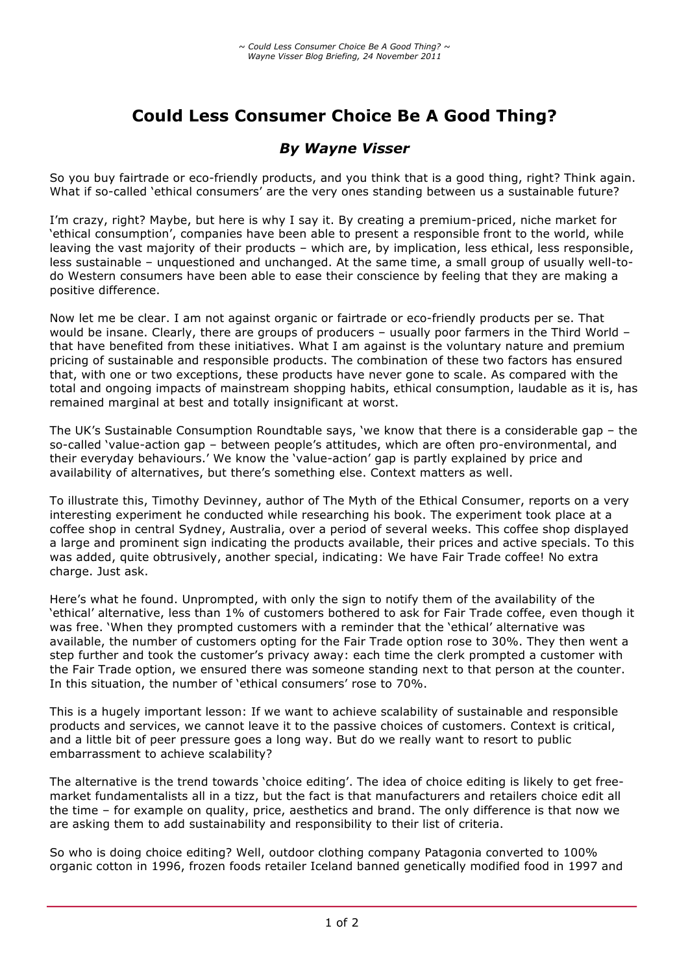# **Could Less Consumer Choice Be A Good Thing?**

## *By Wayne Visser*

So you buy fairtrade or eco-friendly products, and you think that is a good thing, right? Think again. What if so-called 'ethical consumers' are the very ones standing between us a sustainable future?

I'm crazy, right? Maybe, but here is why I say it. By creating a premium-priced, niche market for 'ethical consumption', companies have been able to present a responsible front to the world, while leaving the vast majority of their products – which are, by implication, less ethical, less responsible, less sustainable – unquestioned and unchanged. At the same time, a small group of usually well-todo Western consumers have been able to ease their conscience by feeling that they are making a positive difference.

Now let me be clear. I am not against organic or fairtrade or eco-friendly products per se. That would be insane. Clearly, there are groups of producers – usually poor farmers in the Third World – that have benefited from these initiatives. What I am against is the voluntary nature and premium pricing of sustainable and responsible products. The combination of these two factors has ensured that, with one or two exceptions, these products have never gone to scale. As compared with the total and ongoing impacts of mainstream shopping habits, ethical consumption, laudable as it is, has remained marginal at best and totally insignificant at worst.

The UK's Sustainable Consumption Roundtable says, 'we know that there is a considerable gap – the so-called 'value-action gap – between people's attitudes, which are often pro-environmental, and their everyday behaviours.' We know the 'value-action' gap is partly explained by price and availability of alternatives, but there's something else. Context matters as well.

To illustrate this, Timothy Devinney, author of The Myth of the Ethical Consumer, reports on a very interesting experiment he conducted while researching his book. The experiment took place at a coffee shop in central Sydney, Australia, over a period of several weeks. This coffee shop displayed a large and prominent sign indicating the products available, their prices and active specials. To this was added, quite obtrusively, another special, indicating: We have Fair Trade coffee! No extra charge. Just ask.

Here's what he found. Unprompted, with only the sign to notify them of the availability of the 'ethical' alternative, less than 1% of customers bothered to ask for Fair Trade coffee, even though it was free. 'When they prompted customers with a reminder that the 'ethical' alternative was available, the number of customers opting for the Fair Trade option rose to 30%. They then went a step further and took the customer's privacy away: each time the clerk prompted a customer with the Fair Trade option, we ensured there was someone standing next to that person at the counter. In this situation, the number of 'ethical consumers' rose to 70%.

This is a hugely important lesson: If we want to achieve scalability of sustainable and responsible products and services, we cannot leave it to the passive choices of customers. Context is critical, and a little bit of peer pressure goes a long way. But do we really want to resort to public embarrassment to achieve scalability?

The alternative is the trend towards 'choice editing'. The idea of choice editing is likely to get freemarket fundamentalists all in a tizz, but the fact is that manufacturers and retailers choice edit all the time – for example on quality, price, aesthetics and brand. The only difference is that now we are asking them to add sustainability and responsibility to their list of criteria.

So who is doing choice editing? Well, outdoor clothing company Patagonia converted to 100% organic cotton in 1996, frozen foods retailer Iceland banned genetically modified food in 1997 and